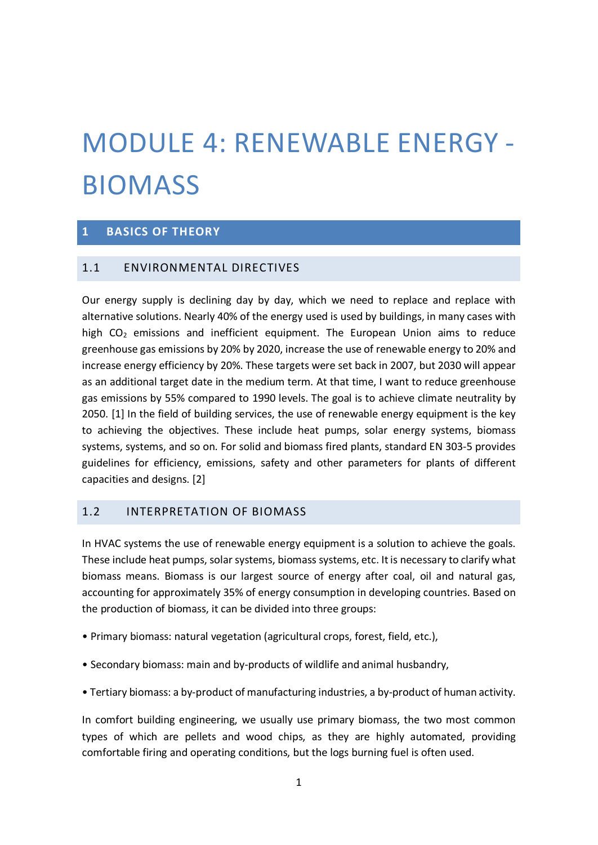# MODULE 4: RENEWABLE ENERGY - BIOMASS

# **1 BASICS OF THEORY**

# 1.1 ENVIRONMENTAL DIRECTIVES

Our energy supply is declining day by day, which we need to replace and replace with alternative solutions. Nearly 40% of the energy used is used by buildings, in many cases with high  $CO<sub>2</sub>$  emissions and inefficient equipment. The European Union aims to reduce greenhouse gas emissions by 20% by 2020, increase the use of renewable energy to 20% and increase energy efficiency by 20%. These targets were set back in 2007, but 2030 will appear as an additional target date in the medium term. At that time, I want to reduce greenhouse gas emissions by 55% compared to 1990 levels. The goal is to achieve climate neutrality by 2050. [1] In the field of building services, the use of renewable energy equipment is the key to achieving the objectives. These include heat pumps, solar energy systems, biomass systems, systems, and so on. For solid and biomass fired plants, standard EN 303-5 provides guidelines for efficiency, emissions, safety and other parameters for plants of different capacities and designs. [2]

# 1.2 INTERPRETATION OF BIOMASS

In HVAC systems the use of renewable energy equipment is a solution to achieve the goals. These include heat pumps, solar systems, biomass systems, etc. It is necessary to clarify what biomass means. Biomass is our largest source of energy after coal, oil and natural gas, accounting for approximately 35% of energy consumption in developing countries. Based on the production of biomass, it can be divided into three groups:

- Primary biomass: natural vegetation (agricultural crops, forest, field, etc.),
- Secondary biomass: main and by-products of wildlife and animal husbandry,
- Tertiary biomass: a by-product of manufacturing industries, a by-product of human activity.

In comfort building engineering, we usually use primary biomass, the two most common types of which are pellets and wood chips, as they are highly automated, providing comfortable firing and operating conditions, but the logs burning fuel is often used.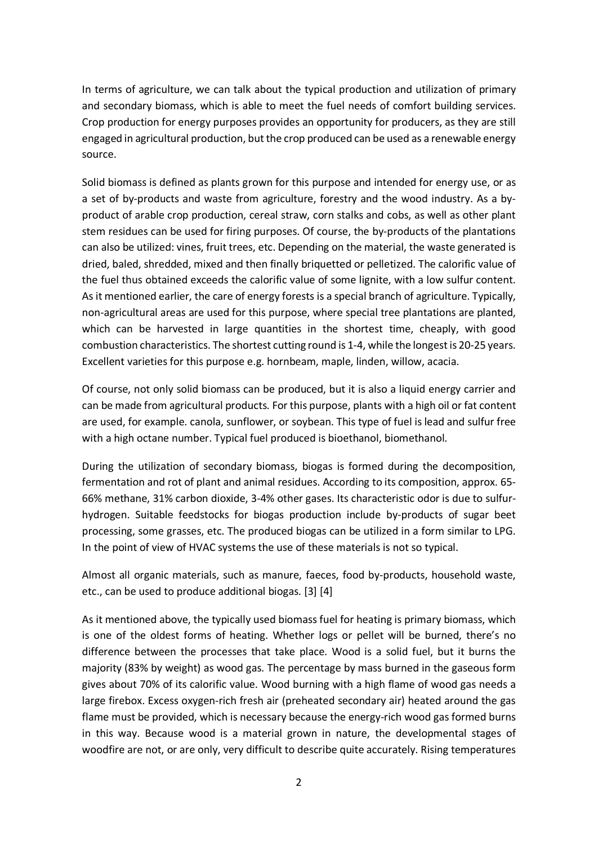In terms of agriculture, we can talk about the typical production and utilization of primary and secondary biomass, which is able to meet the fuel needs of comfort building services. Crop production for energy purposes provides an opportunity for producers, as they are still engaged in agricultural production, but the crop produced can be used as a renewable energy source.

Solid biomass is defined as plants grown for this purpose and intended for energy use, or as a set of by-products and waste from agriculture, forestry and the wood industry. As a byproduct of arable crop production, cereal straw, corn stalks and cobs, as well as other plant stem residues can be used for firing purposes. Of course, the by-products of the plantations can also be utilized: vines, fruit trees, etc. Depending on the material, the waste generated is dried, baled, shredded, mixed and then finally briquetted or pelletized. The calorific value of the fuel thus obtained exceeds the calorific value of some lignite, with a low sulfur content. As it mentioned earlier, the care of energy forests is a special branch of agriculture. Typically, non-agricultural areas are used for this purpose, where special tree plantations are planted, which can be harvested in large quantities in the shortest time, cheaply, with good combustion characteristics. The shortest cutting round is 1-4, while the longest is 20-25 years. Excellent varieties for this purpose e.g. hornbeam, maple, linden, willow, acacia.

Of course, not only solid biomass can be produced, but it is also a liquid energy carrier and can be made from agricultural products. For this purpose, plants with a high oil or fat content are used, for example. canola, sunflower, or soybean. This type of fuel is lead and sulfur free with a high octane number. Typical fuel produced is bioethanol, biomethanol.

During the utilization of secondary biomass, biogas is formed during the decomposition, fermentation and rot of plant and animal residues. According to its composition, approx. 65- 66% methane, 31% carbon dioxide, 3-4% other gases. Its characteristic odor is due to sulfurhydrogen. Suitable feedstocks for biogas production include by-products of sugar beet processing, some grasses, etc. The produced biogas can be utilized in a form similar to LPG. In the point of view of HVAC systems the use of these materials is not so typical.

Almost all organic materials, such as manure, faeces, food by-products, household waste, etc., can be used to produce additional biogas. [3] [4]

As it mentioned above, the typically used biomass fuel for heating is primary biomass, which is one of the oldest forms of heating. Whether logs or pellet will be burned, there's no difference between the processes that take place. Wood is a solid fuel, but it burns the majority (83% by weight) as wood gas. The percentage by mass burned in the gaseous form gives about 70% of its calorific value. Wood burning with a high flame of wood gas needs a large firebox. Excess oxygen-rich fresh air (preheated secondary air) heated around the gas flame must be provided, which is necessary because the energy-rich wood gas formed burns in this way. Because wood is a material grown in nature, the developmental stages of woodfire are not, or are only, very difficult to describe quite accurately. Rising temperatures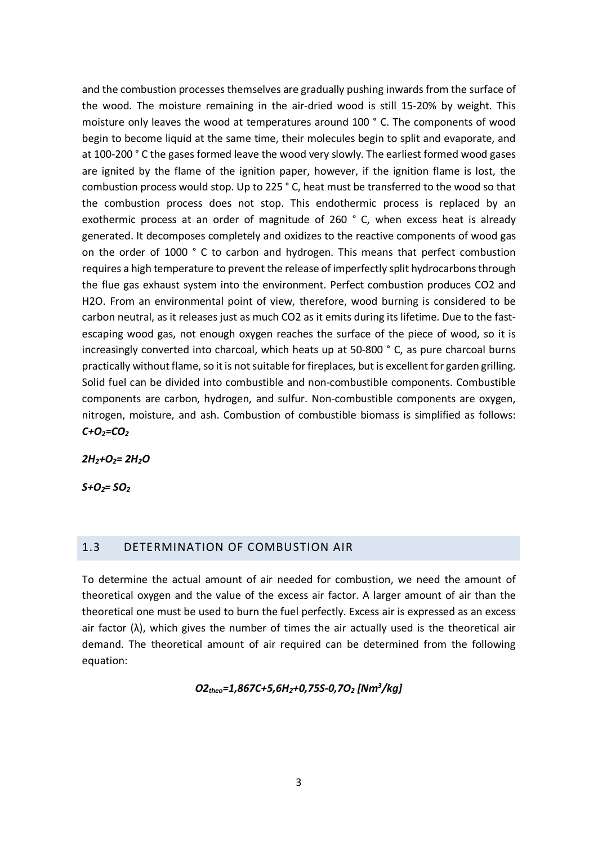and the combustion processes themselves are gradually pushing inwards from the surface of the wood. The moisture remaining in the air-dried wood is still 15-20% by weight. This moisture only leaves the wood at temperatures around 100 ° C. The components of wood begin to become liquid at the same time, their molecules begin to split and evaporate, and at 100-200 ° C the gases formed leave the wood very slowly. The earliest formed wood gases are ignited by the flame of the ignition paper, however, if the ignition flame is lost, the combustion process would stop. Up to 225 ° C, heat must be transferred to the wood so that the combustion process does not stop. This endothermic process is replaced by an exothermic process at an order of magnitude of 260 ° C, when excess heat is already generated. It decomposes completely and oxidizes to the reactive components of wood gas on the order of 1000 ° C to carbon and hydrogen. This means that perfect combustion requires a high temperature to prevent the release of imperfectly split hydrocarbons through the flue gas exhaust system into the environment. Perfect combustion produces CO2 and H2O. From an environmental point of view, therefore, wood burning is considered to be carbon neutral, as it releases just as much CO2 as it emits during its lifetime. Due to the fastescaping wood gas, not enough oxygen reaches the surface of the piece of wood, so it is increasingly converted into charcoal, which heats up at 50-800 ° C, as pure charcoal burns practically without flame, so it is not suitable for fireplaces, but is excellent for garden grilling. Solid fuel can be divided into combustible and non-combustible components. Combustible components are carbon, hydrogen, and sulfur. Non-combustible components are oxygen, nitrogen, moisture, and ash. Combustion of combustible biomass is simplified as follows: *C+O2=CO2*

*2H2+O2= 2H2O*

*S+O<sub>2</sub>= SO<sub>2</sub>* 

#### 1.3 DETERMINATION OF COMBUSTION AIR

To determine the actual amount of air needed for combustion, we need the amount of theoretical oxygen and the value of the excess air factor. A larger amount of air than the theoretical one must be used to burn the fuel perfectly. Excess air is expressed as an excess air factor  $(\lambda)$ , which gives the number of times the air actually used is the theoretical air demand. The theoretical amount of air required can be determined from the following equation:

*O2theo=1,867C+5,6H2+0,75S-0,7O2 [Nm3 /kg]*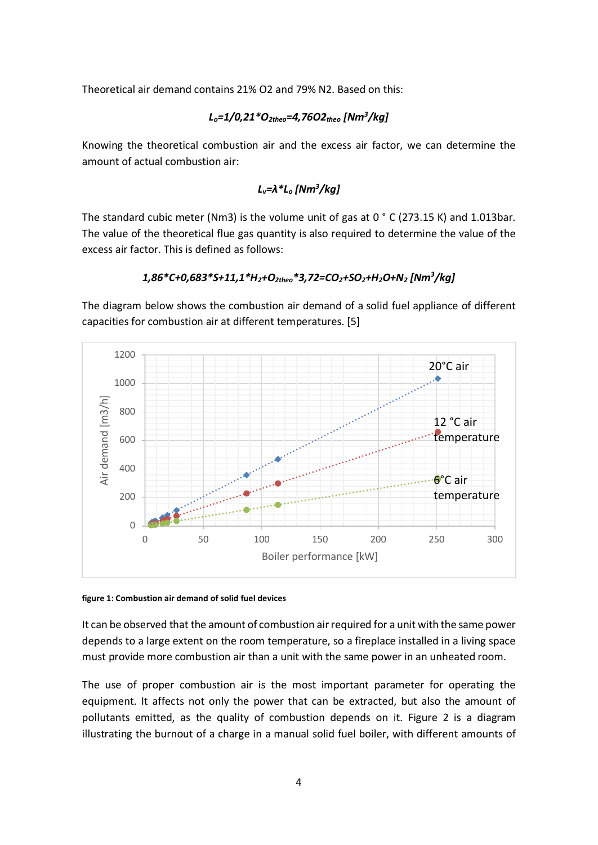Theoretical air demand contains 21% O2 and 79% N2. Based on this:

# *Lo=1/0,21\*O2theo=4,76O2theo [Nm3 /kg]*

Knowing the theoretical combustion air and the excess air factor, we can determine the amount of actual combustion air:

## *Lv=λ\*Lo [Nm3 /kg]*

The standard cubic meter (Nm3) is the volume unit of gas at  $0 °C$  (273.15 K) and 1.013bar. The value of the theoretical flue gas quantity is also required to determine the value of the excess air factor. This is defined as follows:

# *1,86\*C+0,683\*S+11,1\*H2+O2theo\*3,72=CO2+SO2+H2O+N2 [Nm3 /kg]*

The diagram below shows the combustion air demand of a solid fuel appliance of different capacities for combustion air at different temperatures. [5]



#### **figure 1: Combustion air demand of solid fuel devices**

It can be observed that the amount of combustion air required for a unit with the same power depends to a large extent on the room temperature, so a fireplace installed in a living space must provide more combustion air than a unit with the same power in an unheated room.

The use of proper combustion air is the most important parameter for operating the equipment. It affects not only the power that can be extracted, but also the amount of pollutants emitted, as the quality of combustion depends on it. Figure 2 is a diagram illustrating the burnout of a charge in a manual solid fuel boiler, with different amounts of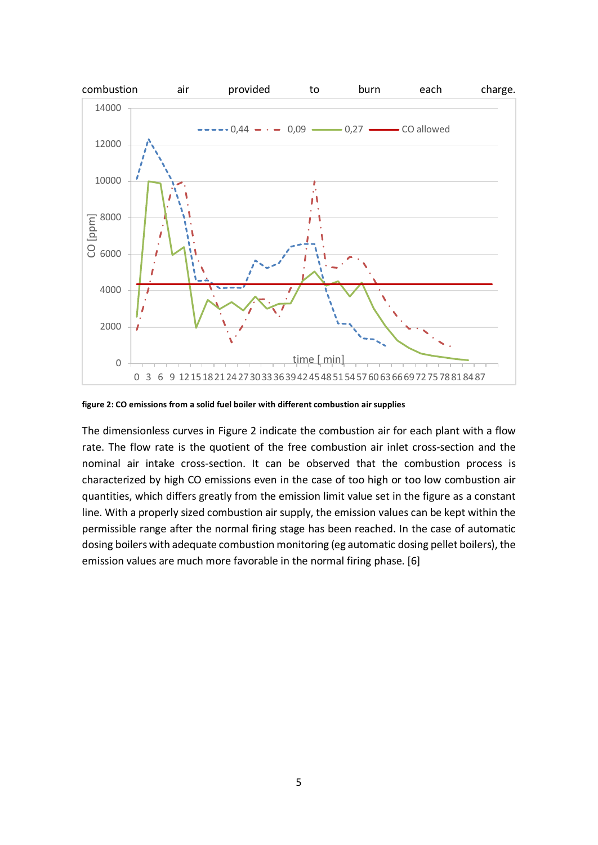

**figure 2: CO emissions from a solid fuel boiler with different combustion air supplies**

The dimensionless curves in Figure 2 indicate the combustion air for each plant with a flow rate. The flow rate is the quotient of the free combustion air inlet cross-section and the nominal air intake cross-section. It can be observed that the combustion process is characterized by high CO emissions even in the case of too high or too low combustion air quantities, which differs greatly from the emission limit value set in the figure as a constant line. With a properly sized combustion air supply, the emission values can be kept within the permissible range after the normal firing stage has been reached. In the case of automatic dosing boilers with adequate combustion monitoring (eg automatic dosing pellet boilers), the emission values are much more favorable in the normal firing phase. [6]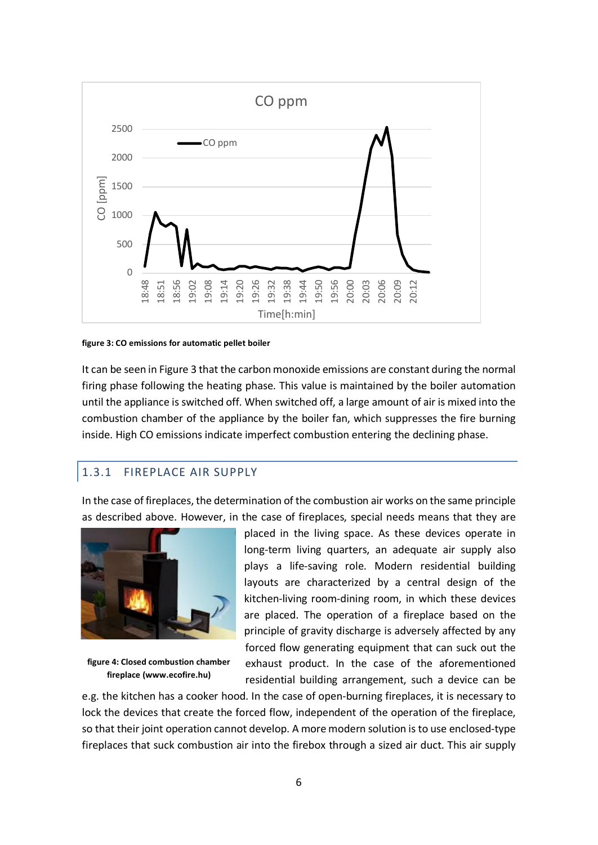

**figure 3: CO emissions for automatic pellet boiler**

It can be seen in Figure 3 that the carbon monoxide emissions are constant during the normal firing phase following the heating phase. This value is maintained by the boiler automation until the appliance is switched off. When switched off, a large amount of air is mixed into the combustion chamber of the appliance by the boiler fan, which suppresses the fire burning inside. High CO emissions indicate imperfect combustion entering the declining phase.

# 1.3.1 FIREPLACE AIR SUPPLY

In the case of fireplaces, the determination of the combustion air works on the same principle as described above. However, in the case of fireplaces, special needs means that they are



**figure 4: Closed combustion chamber fireplace (www.ecofire.hu)**

placed in the living space. As these devices operate in long-term living quarters, an adequate air supply also plays a life-saving role. Modern residential building layouts are characterized by a central design of the kitchen-living room-dining room, in which these devices are placed. The operation of a fireplace based on the principle of gravity discharge is adversely affected by any forced flow generating equipment that can suck out the exhaust product. In the case of the aforementioned residential building arrangement, such a device can be

e.g. the kitchen has a cooker hood. In the case of open-burning fireplaces, it is necessary to lock the devices that create the forced flow, independent of the operation of the fireplace, so that their joint operation cannot develop. A more modern solution is to use enclosed-type fireplaces that suck combustion air into the firebox through a sized air duct. This air supply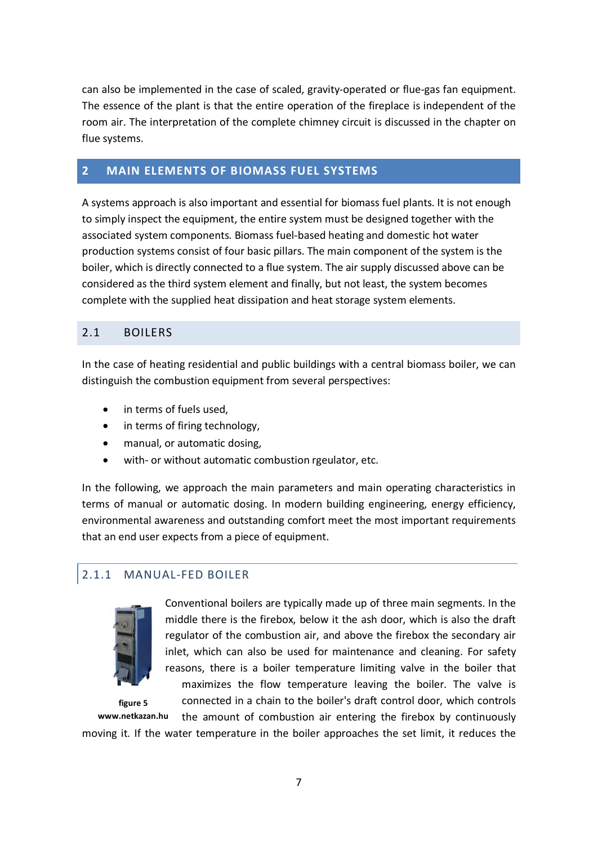can also be implemented in the case of scaled, gravity-operated or flue-gas fan equipment. The essence of the plant is that the entire operation of the fireplace is independent of the room air. The interpretation of the complete chimney circuit is discussed in the chapter on flue systems.

# **2 MAIN ELEMENTS OF BIOMASS FUEL SYSTEMS**

A systems approach is also important and essential for biomass fuel plants. It is not enough to simply inspect the equipment, the entire system must be designed together with the associated system components. Biomass fuel-based heating and domestic hot water production systems consist of four basic pillars. The main component of the system is the boiler, which is directly connected to a flue system. The air supply discussed above can be considered as the third system element and finally, but not least, the system becomes complete with the supplied heat dissipation and heat storage system elements.

# 2.1 BOILERS

In the case of heating residential and public buildings with a central biomass boiler, we can distinguish the combustion equipment from several perspectives:

- in terms of fuels used,
- in terms of firing technology,
- manual, or automatic dosing,
- with- or without automatic combustion rgeulator, etc.

In the following, we approach the main parameters and main operating characteristics in terms of manual or automatic dosing. In modern building engineering, energy efficiency, environmental awareness and outstanding comfort meet the most important requirements that an end user expects from a piece of equipment.

# 2.1.1 MANUAL-FED BOILER



**figure 5**

Conventional boilers are typically made up of three main segments. In the middle there is the firebox, below it the ash door, which is also the draft regulator of the combustion air, and above the firebox the secondary air inlet, which can also be used for maintenance and cleaning. For safety reasons, there is a boiler temperature limiting valve in the boiler that

maximizes the flow temperature leaving the boiler. The valve is connected in a chain to the boiler's draft control door, which controls

the amount of combustion air entering the firebox by continuously moving it. If the water temperature in the boiler approaches the set limit, it reduces the **www.netkazan.hu**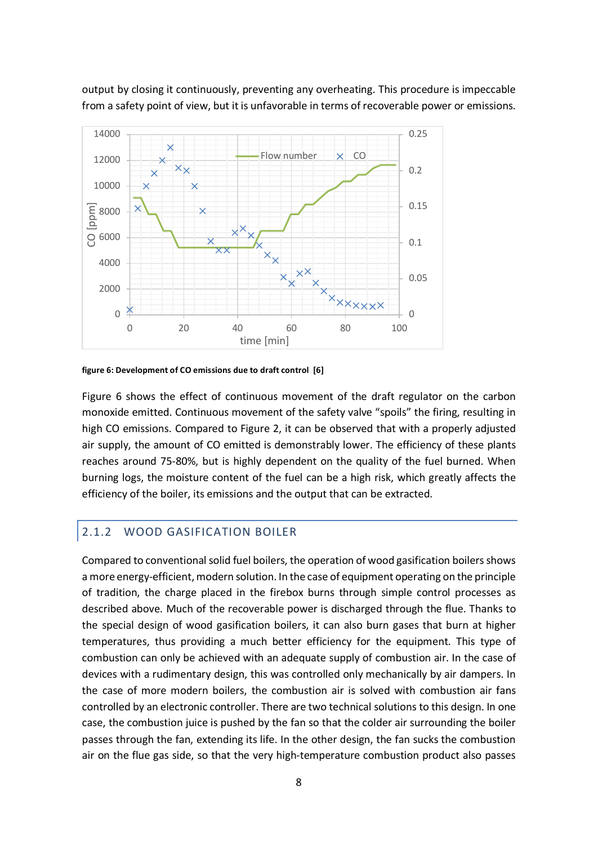output by closing it continuously, preventing any overheating. This procedure is impeccable from a safety point of view, but it is unfavorable in terms of recoverable power or emissions.



**figure 6: Development of CO emissions due to draft control [6]**

Figure 6 shows the effect of continuous movement of the draft regulator on the carbon monoxide emitted. Continuous movement of the safety valve "spoils" the firing, resulting in high CO emissions. Compared to Figure 2, it can be observed that with a properly adjusted air supply, the amount of CO emitted is demonstrably lower. The efficiency of these plants reaches around 75-80%, but is highly dependent on the quality of the fuel burned. When burning logs, the moisture content of the fuel can be a high risk, which greatly affects the efficiency of the boiler, its emissions and the output that can be extracted.

# 2.1.2 WOOD GASIFICATION BOILER

Compared to conventional solid fuel boilers, the operation of wood gasification boilers shows a more energy-efficient, modern solution. In the case of equipment operating on the principle of tradition, the charge placed in the firebox burns through simple control processes as described above. Much of the recoverable power is discharged through the flue. Thanks to the special design of wood gasification boilers, it can also burn gases that burn at higher temperatures, thus providing a much better efficiency for the equipment. This type of combustion can only be achieved with an adequate supply of combustion air. In the case of devices with a rudimentary design, this was controlled only mechanically by air dampers. In the case of more modern boilers, the combustion air is solved with combustion air fans controlled by an electronic controller. There are two technical solutions to this design. In one case, the combustion juice is pushed by the fan so that the colder air surrounding the boiler passes through the fan, extending its life. In the other design, the fan sucks the combustion air on the flue gas side, so that the very high-temperature combustion product also passes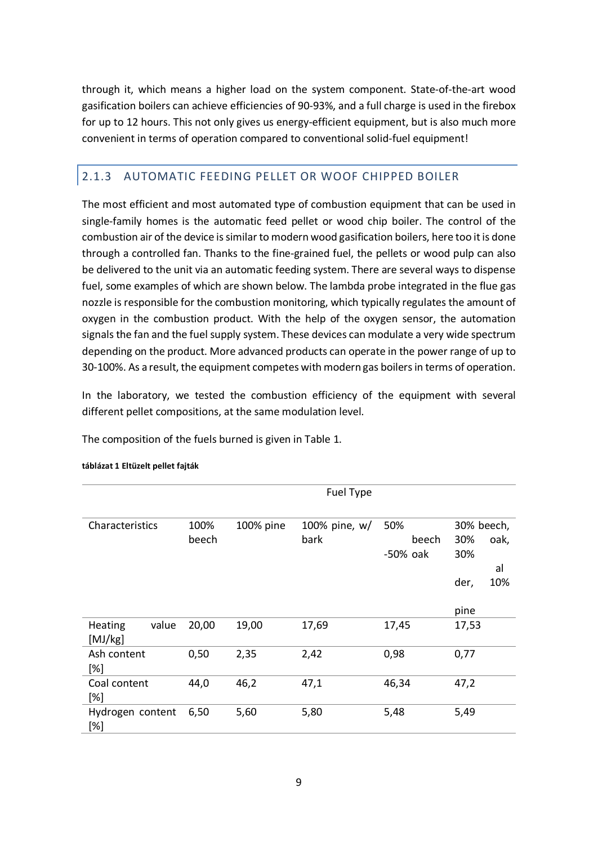through it, which means a higher load on the system component. State-of-the-art wood gasification boilers can achieve efficiencies of 90-93%, and a full charge is used in the firebox for up to 12 hours. This not only gives us energy-efficient equipment, but is also much more convenient in terms of operation compared to conventional solid-fuel equipment!

# 2.1.3 AUTOMATIC FEEDING PELLET OR WOOF CHIPPED BOILER

The most efficient and most automated type of combustion equipment that can be used in single-family homes is the automatic feed pellet or wood chip boiler. The control of the combustion air of the device is similar to modern wood gasification boilers, here too it is done through a controlled fan. Thanks to the fine-grained fuel, the pellets or wood pulp can also be delivered to the unit via an automatic feeding system. There are several ways to dispense fuel, some examples of which are shown below. The lambda probe integrated in the flue gas nozzle is responsible for the combustion monitoring, which typically regulates the amount of oxygen in the combustion product. With the help of the oxygen sensor, the automation signals the fan and the fuel supply system. These devices can modulate a very wide spectrum depending on the product. More advanced products can operate in the power range of up to 30-100%. As a result, the equipment competes with modern gas boilers in terms of operation.

In the laboratory, we tested the combustion efficiency of the equipment with several different pellet compositions, at the same modulation level.

The composition of the fuels burned is given in Table 1.

|                             |               |           | Fuel Type             |                          |                                                       |
|-----------------------------|---------------|-----------|-----------------------|--------------------------|-------------------------------------------------------|
| Characteristics             | 100%<br>beech | 100% pine | 100% pine, w/<br>bark | 50%<br>beech<br>-50% oak | 30% beech,<br>30%<br>oak,<br>30%<br>al<br>10%<br>der, |
|                             |               |           |                       |                          | pine                                                  |
| value<br>Heating<br>[MJ/kg] | 20,00         | 19,00     | 17,69                 | 17,45                    | 17,53                                                 |
| Ash content<br>[%]          | 0,50          | 2,35      | 2,42                  | 0,98                     | 0,77                                                  |
| Coal content<br>[%]         | 44,0          | 46,2      | 47,1                  | 46,34                    | 47,2                                                  |
| Hydrogen content<br>[%]     | 6,50          | 5,60      | 5,80                  | 5,48                     | 5,49                                                  |

#### **táblázat 1 Eltüzelt pellet fajták**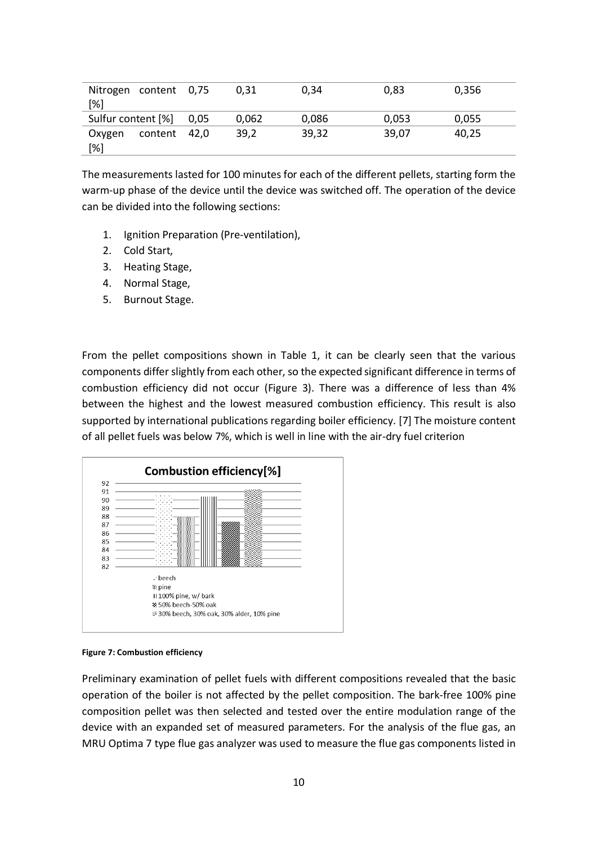| Nitrogen content 0.75<br>[%] |                 | 0.31  | 0.34  | 0,83  | 0.356 |  |
|------------------------------|-----------------|-------|-------|-------|-------|--|
| Sulfur content [%]           | 0.05            | 0.062 | 0.086 | 0,053 | 0.055 |  |
| Oxygen<br>[%]                | content<br>42.0 | 39.2  | 39.32 | 39,07 | 40.25 |  |

The measurements lasted for 100 minutes for each of the different pellets, starting form the warm-up phase of the device until the device was switched off. The operation of the device can be divided into the following sections:

- 1. Ignition Preparation (Pre-ventilation),
- 2. Cold Start,
- 3. Heating Stage,
- 4. Normal Stage,
- 5. Burnout Stage.

From the pellet compositions shown in Table 1, it can be clearly seen that the various components differ slightly from each other, so the expected significant difference in terms of combustion efficiency did not occur (Figure 3). There was a difference of less than 4% between the highest and the lowest measured combustion efficiency. This result is also supported by international publications regarding boiler efficiency. [7] The moisture content of all pellet fuels was below 7%, which is well in line with the air-dry fuel criterion





Preliminary examination of pellet fuels with different compositions revealed that the basic operation of the boiler is not affected by the pellet composition. The bark-free 100% pine composition pellet was then selected and tested over the entire modulation range of the device with an expanded set of measured parameters. For the analysis of the flue gas, an MRU Optima 7 type flue gas analyzer was used to measure the flue gas components listed in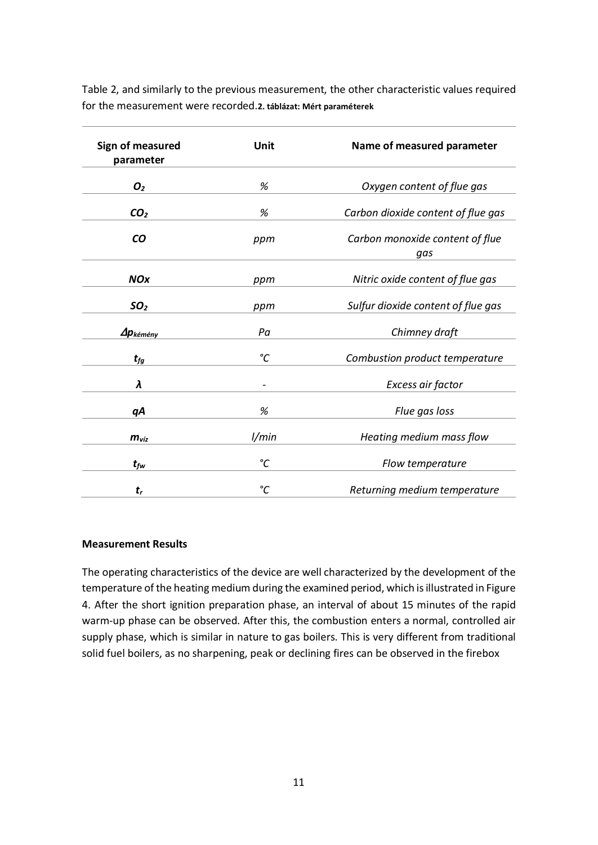Table 2, and similarly to the previous measurement, the other characteristic values required for the measurement were recorded.**2. táblázat: Mért paraméterek**

| Sign of measured<br>parameter       | Unit                         | Name of measured parameter             |  |
|-------------------------------------|------------------------------|----------------------------------------|--|
| O <sub>2</sub>                      | %                            | Oxygen content of flue gas             |  |
| CO <sub>2</sub>                     | %                            | Carbon dioxide content of flue gas     |  |
| CO                                  | ppm                          | Carbon monoxide content of flue<br>gas |  |
| <b>NOx</b>                          | ppm                          | Nitric oxide content of flue gas       |  |
| SO <sub>2</sub>                     | ppm                          | Sulfur dioxide content of flue gas     |  |
| $\Delta p_{k\acute{e}m\acute{e}ny}$ | Pa                           | Chimney draft                          |  |
| $t_{fg}$                            | °C                           | Combustion product temperature         |  |
| λ                                   | $\qquad \qquad \blacksquare$ | Excess air factor                      |  |
| qΑ                                  | %                            | Flue gas loss                          |  |
| $m_{\nu iz}$                        | 1/min                        | Heating medium mass flow               |  |
| $t_{fw}$                            | $\rm ^{\circ}C$              | Flow temperature                       |  |
| $t_{r}$                             | °C                           | Returning medium temperature           |  |

#### **Measurement Results**

The operating characteristics of the device are well characterized by the development of the temperature of the heating medium during the examined period, which is illustrated in Figure 4. After the short ignition preparation phase, an interval of about 15 minutes of the rapid warm-up phase can be observed. After this, the combustion enters a normal, controlled air supply phase, which is similar in nature to gas boilers. This is very different from traditional solid fuel boilers, as no sharpening, peak or declining fires can be observed in the firebox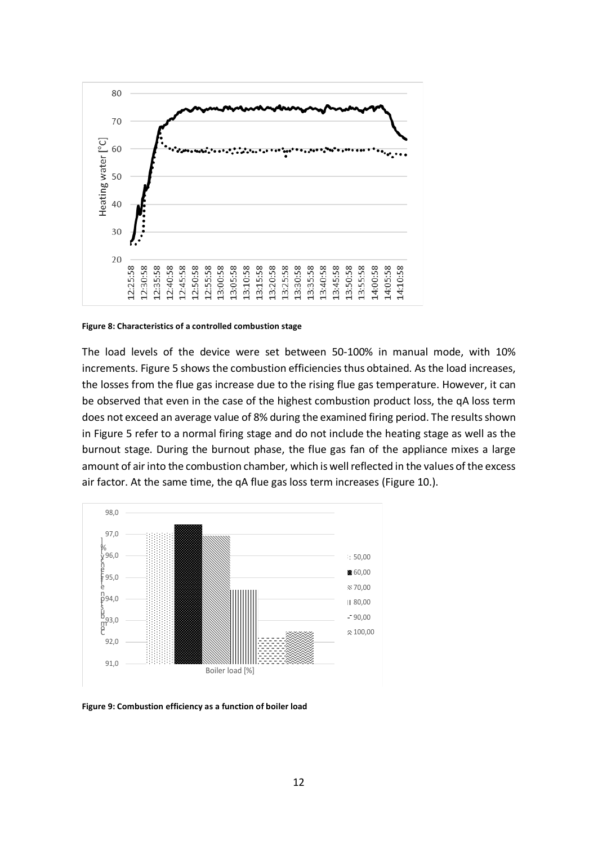

**Figure 8: Characteristics of a controlled combustion stage**

The load levels of the device were set between 50-100% in manual mode, with 10% increments. Figure 5 shows the combustion efficiencies thus obtained. As the load increases, the losses from the flue gas increase due to the rising flue gas temperature. However, it can be observed that even in the case of the highest combustion product loss, the qA loss term does not exceed an average value of 8% during the examined firing period. The results shown in Figure 5 refer to a normal firing stage and do not include the heating stage as well as the burnout stage. During the burnout phase, the flue gas fan of the appliance mixes a large amount of air into the combustion chamber, which is well reflected in the values of the excess air factor. At the same time, the qA flue gas loss term increases (Figure 10.).



**Figure 9: Combustion efficiency as a function of boiler load**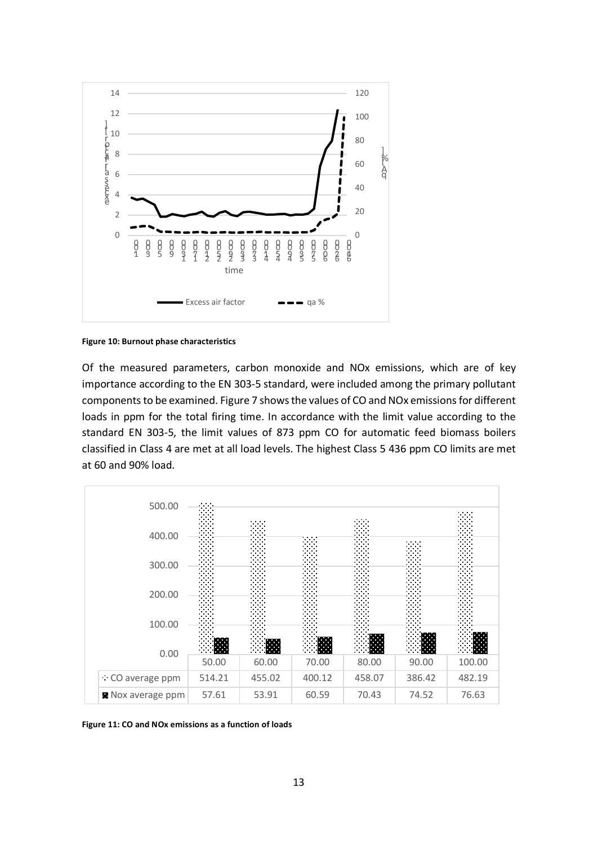

**Figure 10: Burnout phase characteristics**

Of the measured parameters, carbon monoxide and NOx emissions, which are of key importance according to the EN 303-5 standard, were included among the primary pollutant components to be examined. Figure 7 shows the values of CO and NOx emissions for different loads in ppm for the total firing time. In accordance with the limit value according to the standard EN 303-5, the limit values of 873 ppm CO for automatic feed biomass boilers classified in Class 4 are met at all load levels. The highest Class 5 436 ppm CO limits are met at 60 and 90% load.



**Figure 11: CO and NOx emissions as a function of loads**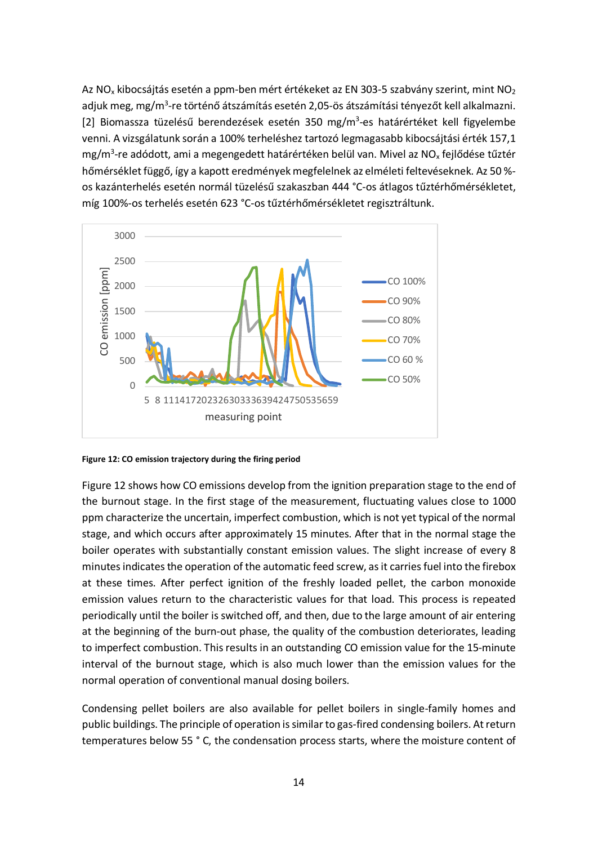Az NO<sub>x</sub> kibocsájtás esetén a ppm-ben mért értékeket az EN 303-5 szabvány szerint, mint NO<sub>2</sub> adjuk meg, mg/m<sup>3</sup>-re történő átszámítás esetén 2,05-ös átszámítási tényezőt kell alkalmazni. [2] Biomassza tüzelésű berendezések esetén 350 mg/m<sup>3</sup>-es határértéket kell figyelembe venni. A vizsgálatunk során a 100% terheléshez tartozó legmagasabb kibocsájtási érték 157,1 mg/m<sup>3</sup>-re adódott, ami a megengedett határértéken belül van. Mivel az NO<sub>x</sub> fejlődése tűztér hőmérséklet függő, így a kapott eredmények megfelelnek az elméleti feltevéseknek. Az 50 % os kazánterhelés esetén normál tüzelésű szakaszban 444 °C-os átlagos tűztérhőmérsékletet, míg 100%-os terhelés esetén 623 °C-os tűztérhőmérsékletet regisztráltunk.



**Figure 12: CO emission trajectory during the firing period**

Figure 12 shows how CO emissions develop from the ignition preparation stage to the end of the burnout stage. In the first stage of the measurement, fluctuating values close to 1000 ppm characterize the uncertain, imperfect combustion, which is not yet typical of the normal stage, and which occurs after approximately 15 minutes. After that in the normal stage the boiler operates with substantially constant emission values. The slight increase of every 8 minutes indicates the operation of the automatic feed screw, as it carries fuel into the firebox at these times. After perfect ignition of the freshly loaded pellet, the carbon monoxide emission values return to the characteristic values for that load. This process is repeated periodically until the boiler is switched off, and then, due to the large amount of air entering at the beginning of the burn-out phase, the quality of the combustion deteriorates, leading to imperfect combustion. This results in an outstanding CO emission value for the 15-minute interval of the burnout stage, which is also much lower than the emission values for the normal operation of conventional manual dosing boilers.

Condensing pellet boilers are also available for pellet boilers in single-family homes and public buildings. The principle of operation is similar to gas-fired condensing boilers. At return temperatures below 55 ° C, the condensation process starts, where the moisture content of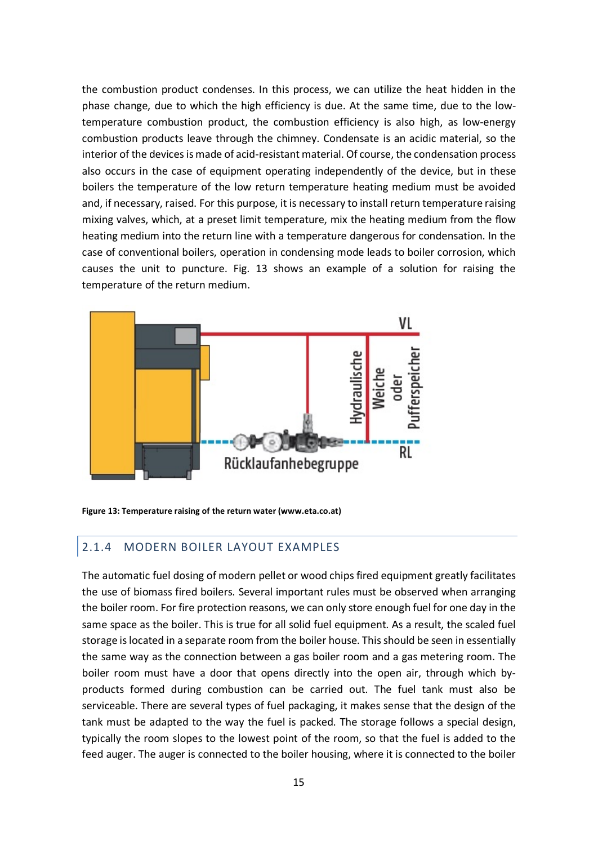the combustion product condenses. In this process, we can utilize the heat hidden in the phase change, due to which the high efficiency is due. At the same time, due to the lowtemperature combustion product, the combustion efficiency is also high, as low-energy combustion products leave through the chimney. Condensate is an acidic material, so the interior of the devices is made of acid-resistant material. Of course, the condensation process also occurs in the case of equipment operating independently of the device, but in these boilers the temperature of the low return temperature heating medium must be avoided and, if necessary, raised. For this purpose, it is necessary to install return temperature raising mixing valves, which, at a preset limit temperature, mix the heating medium from the flow heating medium into the return line with a temperature dangerous for condensation. In the case of conventional boilers, operation in condensing mode leads to boiler corrosion, which causes the unit to puncture. Fig. 13 shows an example of a solution for raising the temperature of the return medium.



**Figure 13: Temperature raising of the return water (www.eta.co.at)**

## 2.1.4 MODERN BOILER LAYOUT EXAMPLES

The automatic fuel dosing of modern pellet or wood chips fired equipment greatly facilitates the use of biomass fired boilers. Several important rules must be observed when arranging the boiler room. For fire protection reasons, we can only store enough fuel for one day in the same space as the boiler. This is true for all solid fuel equipment. As a result, the scaled fuel storage is located in a separate room from the boiler house. This should be seen in essentially the same way as the connection between a gas boiler room and a gas metering room. The boiler room must have a door that opens directly into the open air, through which byproducts formed during combustion can be carried out. The fuel tank must also be serviceable. There are several types of fuel packaging, it makes sense that the design of the tank must be adapted to the way the fuel is packed. The storage follows a special design, typically the room slopes to the lowest point of the room, so that the fuel is added to the feed auger. The auger is connected to the boiler housing, where it is connected to the boiler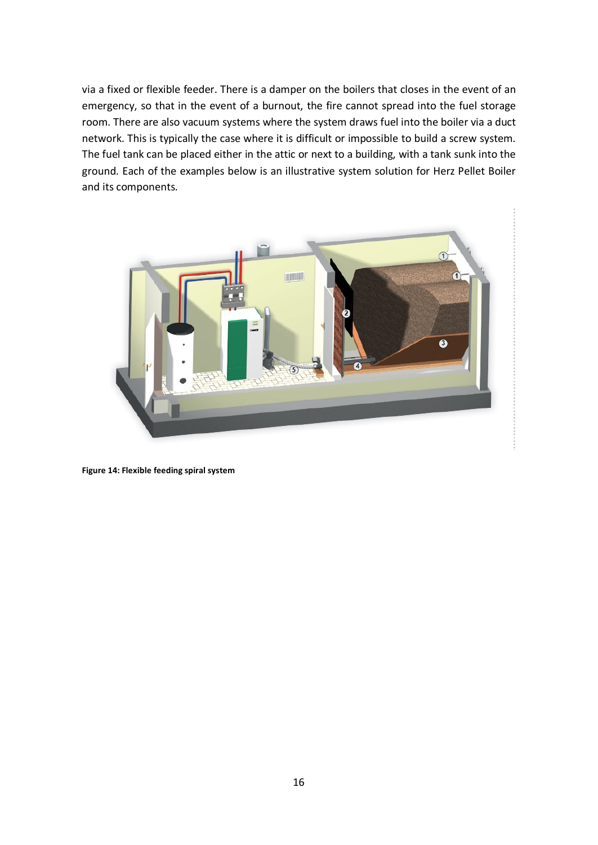via a fixed or flexible feeder. There is a damper on the boilers that closes in the event of an emergency, so that in the event of a burnout, the fire cannot spread into the fuel storage room. There are also vacuum systems where the system draws fuel into the boiler via a duct network. This is typically the case where it is difficult or impossible to build a screw system. The fuel tank can be placed either in the attic or next to a building, with a tank sunk into the ground. Each of the examples below is an illustrative system solution for Herz Pellet Boiler and its components.



**Figure 14: Flexible feeding spiral system**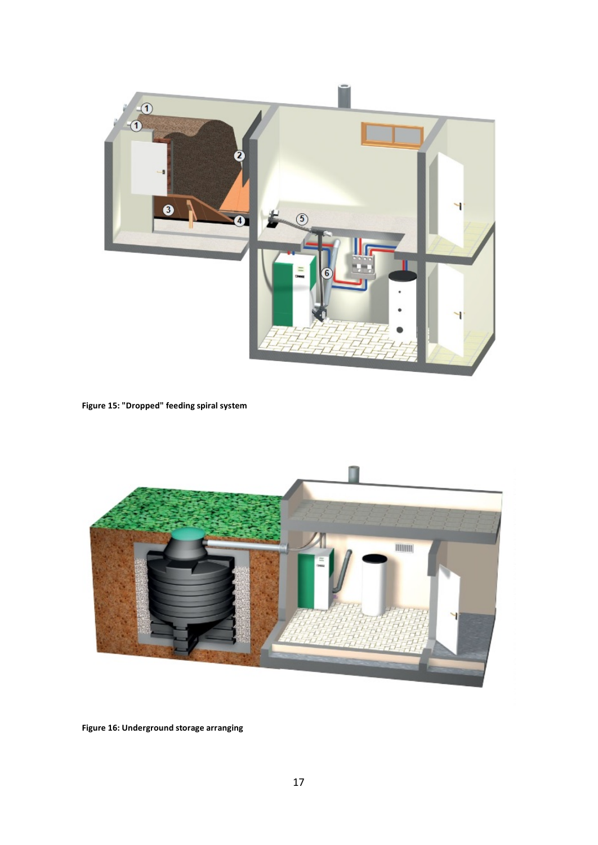

**Figure 15: "Dropped" feeding spiral system**



**Figure 16: Underground storage arranging**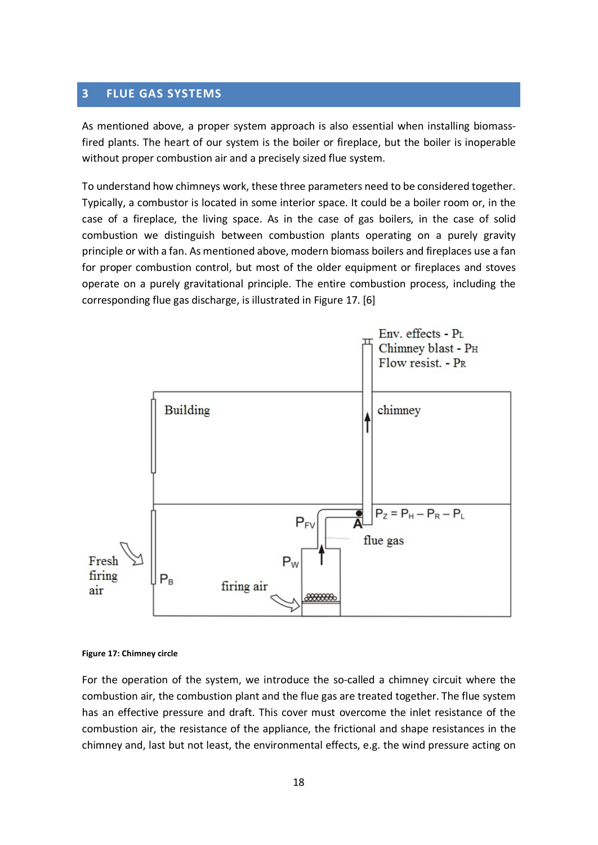# **3 FLUE GAS SYSTEMS**

As mentioned above, a proper system approach is also essential when installing biomassfired plants. The heart of our system is the boiler or fireplace, but the boiler is inoperable without proper combustion air and a precisely sized flue system.

To understand how chimneys work, these three parameters need to be considered together. Typically, a combustor is located in some interior space. It could be a boiler room or, in the case of a fireplace, the living space. As in the case of gas boilers, in the case of solid combustion we distinguish between combustion plants operating on a purely gravity principle or with a fan. As mentioned above, modern biomass boilers and fireplaces use a fan for proper combustion control, but most of the older equipment or fireplaces and stoves operate on a purely gravitational principle. The entire combustion process, including the corresponding flue gas discharge, is illustrated in Figure 17. [6]



#### **Figure 17: Chimney circle**

For the operation of the system, we introduce the so-called a chimney circuit where the combustion air, the combustion plant and the flue gas are treated together. The flue system has an effective pressure and draft. This cover must overcome the inlet resistance of the combustion air, the resistance of the appliance, the frictional and shape resistances in the chimney and, last but not least, the environmental effects, e.g. the wind pressure acting on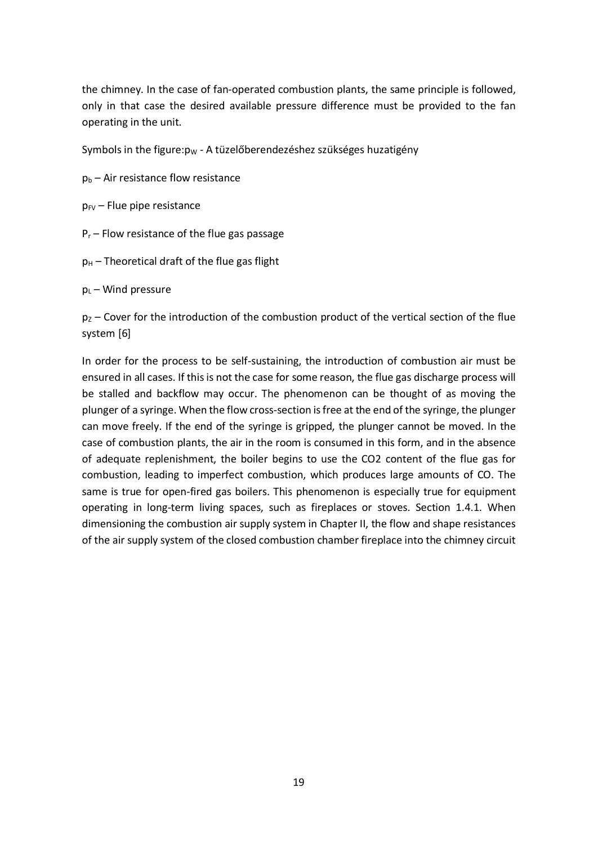the chimney. In the case of fan-operated combustion plants, the same principle is followed, only in that case the desired available pressure difference must be provided to the fan operating in the unit.

Symbols in the figure: $p_W$  - A tüzelőberendezéshez szükséges huzatigény

 $p_b$  – Air resistance flow resistance

 $p_{FV}$  – Flue pipe resistance

- $P_r$  Flow resistance of the flue gas passage
- $p_H$  Theoretical draft of the flue gas flight

 $p_L$  – Wind pressure

 $p_Z$  – Cover for the introduction of the combustion product of the vertical section of the flue system [6]

In order for the process to be self-sustaining, the introduction of combustion air must be ensured in all cases. If this is not the case for some reason, the flue gas discharge process will be stalled and backflow may occur. The phenomenon can be thought of as moving the plunger of a syringe. When the flow cross-section is free at the end of the syringe, the plunger can move freely. If the end of the syringe is gripped, the plunger cannot be moved. In the case of combustion plants, the air in the room is consumed in this form, and in the absence of adequate replenishment, the boiler begins to use the CO2 content of the flue gas for combustion, leading to imperfect combustion, which produces large amounts of CO. The same is true for open-fired gas boilers. This phenomenon is especially true for equipment operating in long-term living spaces, such as fireplaces or stoves. Section 1.4.1. When dimensioning the combustion air supply system in Chapter II, the flow and shape resistances of the air supply system of the closed combustion chamber fireplace into the chimney circuit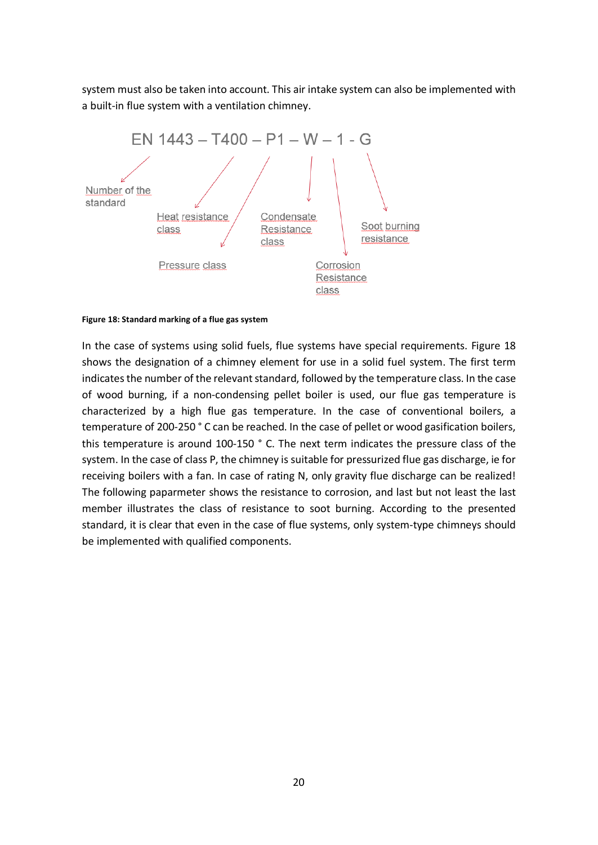system must also be taken into account. This air intake system can also be implemented with a built-in flue system with a ventilation chimney.



#### **Figure 18: Standard marking of a flue gas system**

In the case of systems using solid fuels, flue systems have special requirements. Figure 18 shows the designation of a chimney element for use in a solid fuel system. The first term indicates the number of the relevant standard, followed by the temperature class. In the case of wood burning, if a non-condensing pellet boiler is used, our flue gas temperature is characterized by a high flue gas temperature. In the case of conventional boilers, a temperature of 200-250 ° C can be reached. In the case of pellet or wood gasification boilers, this temperature is around 100-150 ° C. The next term indicates the pressure class of the system. In the case of class P, the chimney is suitable for pressurized flue gas discharge, ie for receiving boilers with a fan. In case of rating N, only gravity flue discharge can be realized! The following paparmeter shows the resistance to corrosion, and last but not least the last member illustrates the class of resistance to soot burning. According to the presented standard, it is clear that even in the case of flue systems, only system-type chimneys should be implemented with qualified components.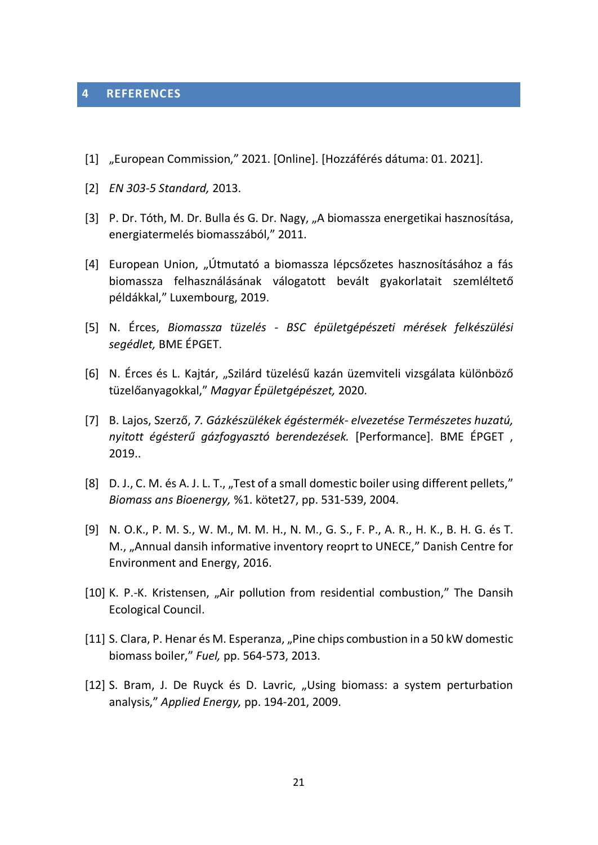#### **4 REFERENCES**

- [1] "European Commission," 2021. [Online]. [Hozzáférés dátuma: 01. 2021].
- [2] *EN 303-5 Standard,* 2013.
- [3] P. Dr. Tóth, M. Dr. Bulla és G. Dr. Nagy, "A biomassza energetikai hasznosítása, energiatermelés biomasszából," 2011.
- [4] European Union, "Útmutató a biomassza lépcsőzetes hasznosításához a fás biomassza felhasználásának válogatott bevált gyakorlatait szemléltető példákkal," Luxembourg, 2019.
- [5] N. Érces, *Biomassza tüzelés - BSC épületgépészeti mérések felkészülési segédlet,* BME ÉPGET.
- [6] N. Érces és L. Kajtár, "Szilárd tüzelésű kazán üzemviteli vizsgálata különböző tüzelőanyagokkal," *Magyar Épületgépészet,* 2020.
- [7] B. Lajos, Szerző, *7. Gázkészülékek égéstermék- elvezetése Természetes huzatú, nyitott égésterű gázfogyasztó berendezések.* [Performance]. BME ÉPGET , 2019..
- [8] D. J., C. M. és A. J. L. T., "Test of a small domestic boiler using different pellets," *Biomass ans Bioenergy,* %1. kötet27, pp. 531-539, 2004.
- [9] N. O.K., P. M. S., W. M., M. M. H., N. M., G. S., F. P., A. R., H. K., B. H. G. és T. M., "Annual dansih informative inventory reoprt to UNECE," Danish Centre for Environment and Energy, 2016.
- [10] K. P.-K. Kristensen, "Air pollution from residential combustion," The Dansih Ecological Council.
- [11] S. Clara, P. Henar és M. Esperanza, "Pine chips combustion in a 50 kW domestic biomass boiler," *Fuel,* pp. 564-573, 2013.
- [12] S. Bram, J. De Ruyck és D. Lavric, "Using biomass: a system perturbation analysis," *Applied Energy,* pp. 194-201, 2009.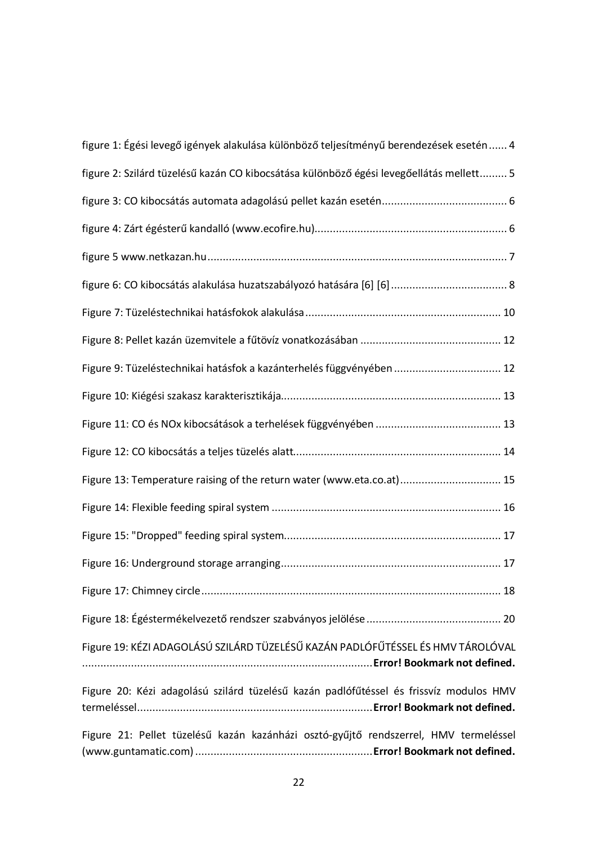| figure 1: Égési levegő igények alakulása különböző teljesítményű berendezések esetén  4 |
|-----------------------------------------------------------------------------------------|
| figure 2: Szilárd tüzelésű kazán CO kibocsátása különböző égési levegőellátás mellett 5 |
|                                                                                         |
|                                                                                         |
|                                                                                         |
|                                                                                         |
|                                                                                         |
|                                                                                         |
| Figure 9: Tüzeléstechnikai hatásfok a kazánterhelés függvényében  12                    |
|                                                                                         |
|                                                                                         |
|                                                                                         |
| Figure 13: Temperature raising of the return water (www.eta.co.at) 15                   |
|                                                                                         |
|                                                                                         |
|                                                                                         |
|                                                                                         |
|                                                                                         |
| Figure 19: KÉZI ADAGOLÁSÚ SZILÁRD TÜZELÉSŰ KAZÁN PADLÓFŰTÉSSEL ÉS HMV TÁROLÓVAL         |
| Figure 20: Kézi adagolású szilárd tüzelésű kazán padlófűtéssel és frissvíz modulos HMV  |
| Figure 21: Pellet tüzelésű kazán kazánházi osztó-gyűjtő rendszerrel, HMV termeléssel    |